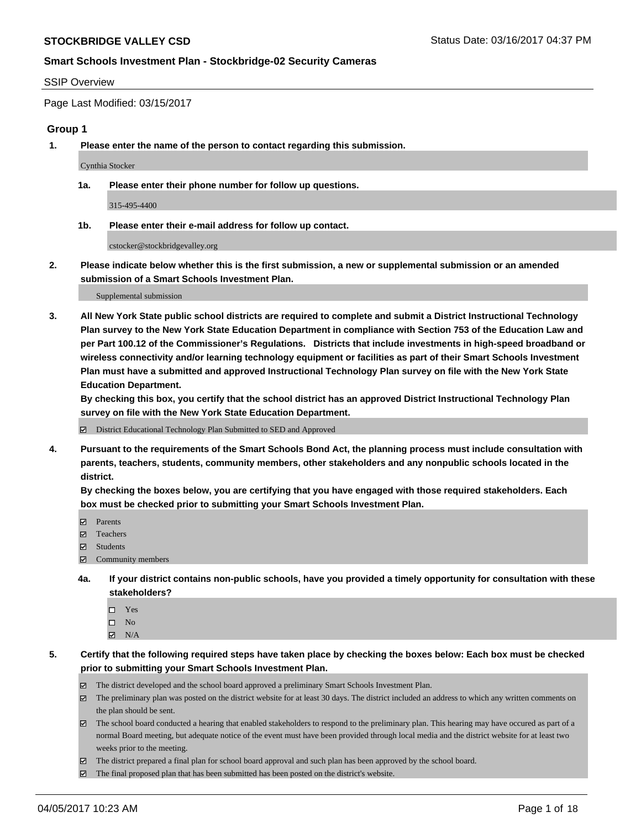#### SSIP Overview

Page Last Modified: 03/15/2017

#### **Group 1**

**1. Please enter the name of the person to contact regarding this submission.**

Cynthia Stocker

**1a. Please enter their phone number for follow up questions.**

315-495-4400

**1b. Please enter their e-mail address for follow up contact.**

cstocker@stockbridgevalley.org

**2. Please indicate below whether this is the first submission, a new or supplemental submission or an amended submission of a Smart Schools Investment Plan.**

Supplemental submission

**3. All New York State public school districts are required to complete and submit a District Instructional Technology Plan survey to the New York State Education Department in compliance with Section 753 of the Education Law and per Part 100.12 of the Commissioner's Regulations. Districts that include investments in high-speed broadband or wireless connectivity and/or learning technology equipment or facilities as part of their Smart Schools Investment Plan must have a submitted and approved Instructional Technology Plan survey on file with the New York State Education Department.** 

**By checking this box, you certify that the school district has an approved District Instructional Technology Plan survey on file with the New York State Education Department.**

District Educational Technology Plan Submitted to SED and Approved

**4. Pursuant to the requirements of the Smart Schools Bond Act, the planning process must include consultation with parents, teachers, students, community members, other stakeholders and any nonpublic schools located in the district.** 

**By checking the boxes below, you are certifying that you have engaged with those required stakeholders. Each box must be checked prior to submitting your Smart Schools Investment Plan.**

- **マ** Parents
- □ Teachers
- Students
- $\Xi$  Community members
- **4a. If your district contains non-public schools, have you provided a timely opportunity for consultation with these stakeholders?**
	- Yes
	- $\hfill \square$  No
	- $\boxtimes$  N/A
- **5. Certify that the following required steps have taken place by checking the boxes below: Each box must be checked prior to submitting your Smart Schools Investment Plan.**
	- The district developed and the school board approved a preliminary Smart Schools Investment Plan.
	- $\boxtimes$  The preliminary plan was posted on the district website for at least 30 days. The district included an address to which any written comments on the plan should be sent.
	- $\boxtimes$  The school board conducted a hearing that enabled stakeholders to respond to the preliminary plan. This hearing may have occured as part of a normal Board meeting, but adequate notice of the event must have been provided through local media and the district website for at least two weeks prior to the meeting.
	- The district prepared a final plan for school board approval and such plan has been approved by the school board.
	- $\boxtimes$  The final proposed plan that has been submitted has been posted on the district's website.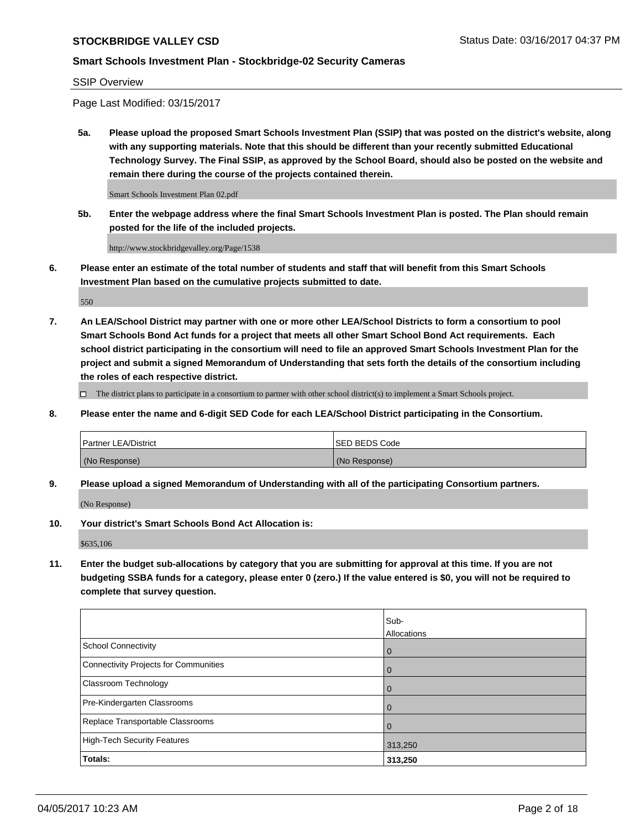SSIP Overview

Page Last Modified: 03/15/2017

**5a. Please upload the proposed Smart Schools Investment Plan (SSIP) that was posted on the district's website, along with any supporting materials. Note that this should be different than your recently submitted Educational Technology Survey. The Final SSIP, as approved by the School Board, should also be posted on the website and remain there during the course of the projects contained therein.**

Smart Schools Investment Plan 02.pdf

**5b. Enter the webpage address where the final Smart Schools Investment Plan is posted. The Plan should remain posted for the life of the included projects.**

http://www.stockbridgevalley.org/Page/1538

**6. Please enter an estimate of the total number of students and staff that will benefit from this Smart Schools Investment Plan based on the cumulative projects submitted to date.**

550

**7. An LEA/School District may partner with one or more other LEA/School Districts to form a consortium to pool Smart Schools Bond Act funds for a project that meets all other Smart School Bond Act requirements. Each school district participating in the consortium will need to file an approved Smart Schools Investment Plan for the project and submit a signed Memorandum of Understanding that sets forth the details of the consortium including the roles of each respective district.**

 $\Box$  The district plans to participate in a consortium to partner with other school district(s) to implement a Smart Schools project.

**8. Please enter the name and 6-digit SED Code for each LEA/School District participating in the Consortium.**

| <b>Partner LEA/District</b> | <b>ISED BEDS Code</b> |
|-----------------------------|-----------------------|
| (No Response)               | (No Response)         |

**9. Please upload a signed Memorandum of Understanding with all of the participating Consortium partners.**

(No Response)

**10. Your district's Smart Schools Bond Act Allocation is:**

\$635,106

**11. Enter the budget sub-allocations by category that you are submitting for approval at this time. If you are not budgeting SSBA funds for a category, please enter 0 (zero.) If the value entered is \$0, you will not be required to complete that survey question.**

|                                       | Sub-        |
|---------------------------------------|-------------|
|                                       | Allocations |
| <b>School Connectivity</b>            | 0           |
| Connectivity Projects for Communities | 0           |
| <b>Classroom Technology</b>           | 0           |
| Pre-Kindergarten Classrooms           | 0           |
| Replace Transportable Classrooms      | 0           |
| <b>High-Tech Security Features</b>    | 313,250     |
| Totals:                               | 313,250     |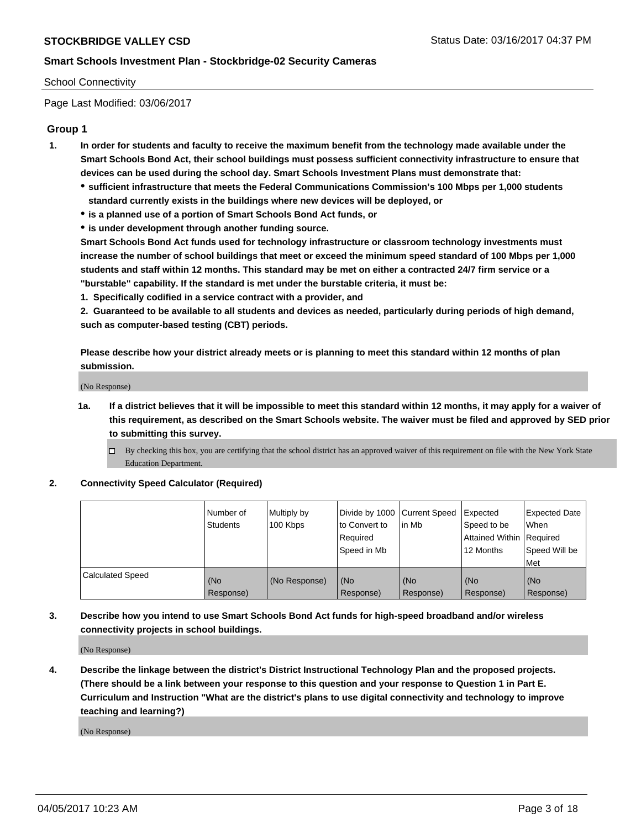#### School Connectivity

Page Last Modified: 03/06/2017

## **Group 1**

- **1. In order for students and faculty to receive the maximum benefit from the technology made available under the Smart Schools Bond Act, their school buildings must possess sufficient connectivity infrastructure to ensure that devices can be used during the school day. Smart Schools Investment Plans must demonstrate that:**
	- **sufficient infrastructure that meets the Federal Communications Commission's 100 Mbps per 1,000 students standard currently exists in the buildings where new devices will be deployed, or**
	- **is a planned use of a portion of Smart Schools Bond Act funds, or**
	- **is under development through another funding source.**

**Smart Schools Bond Act funds used for technology infrastructure or classroom technology investments must increase the number of school buildings that meet or exceed the minimum speed standard of 100 Mbps per 1,000 students and staff within 12 months. This standard may be met on either a contracted 24/7 firm service or a "burstable" capability. If the standard is met under the burstable criteria, it must be:**

**1. Specifically codified in a service contract with a provider, and**

**2. Guaranteed to be available to all students and devices as needed, particularly during periods of high demand, such as computer-based testing (CBT) periods.**

**Please describe how your district already meets or is planning to meet this standard within 12 months of plan submission.**

(No Response)

- **1a. If a district believes that it will be impossible to meet this standard within 12 months, it may apply for a waiver of this requirement, as described on the Smart Schools website. The waiver must be filed and approved by SED prior to submitting this survey.**
	- By checking this box, you are certifying that the school district has an approved waiver of this requirement on file with the New York State Education Department.

#### **2. Connectivity Speed Calculator (Required)**

|                         | l Number of<br><b>Students</b> | Multiply by<br>100 Kbps | Divide by 1000   Current Speed<br>to Convert to<br>Required<br>l Speed in Mb | in Mb            | Expected<br>Speed to be<br>Attained Within Required<br>12 Months | <b>Expected Date</b><br>When<br>Speed Will be<br><b>Met</b> |
|-------------------------|--------------------------------|-------------------------|------------------------------------------------------------------------------|------------------|------------------------------------------------------------------|-------------------------------------------------------------|
| <b>Calculated Speed</b> | (No<br>Response)               | (No Response)           | (No<br>Response)                                                             | (No<br>Response) | (No<br>Response)                                                 | l (No<br>Response)                                          |

## **3. Describe how you intend to use Smart Schools Bond Act funds for high-speed broadband and/or wireless connectivity projects in school buildings.**

(No Response)

**4. Describe the linkage between the district's District Instructional Technology Plan and the proposed projects. (There should be a link between your response to this question and your response to Question 1 in Part E. Curriculum and Instruction "What are the district's plans to use digital connectivity and technology to improve teaching and learning?)**

(No Response)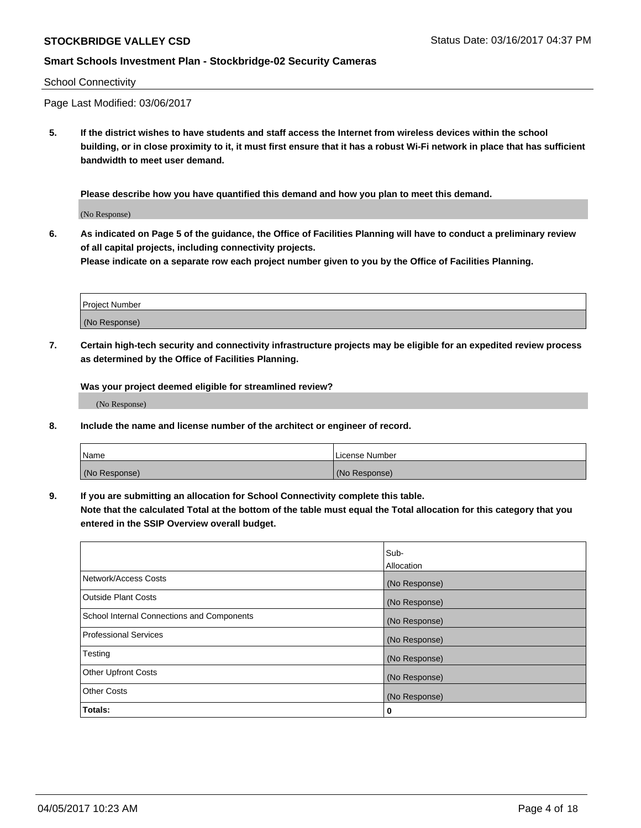#### School Connectivity

Page Last Modified: 03/06/2017

**5. If the district wishes to have students and staff access the Internet from wireless devices within the school building, or in close proximity to it, it must first ensure that it has a robust Wi-Fi network in place that has sufficient bandwidth to meet user demand.**

**Please describe how you have quantified this demand and how you plan to meet this demand.**

(No Response)

**6. As indicated on Page 5 of the guidance, the Office of Facilities Planning will have to conduct a preliminary review of all capital projects, including connectivity projects.**

**Please indicate on a separate row each project number given to you by the Office of Facilities Planning.**

| Project Number |  |
|----------------|--|
|                |  |
| (No Response)  |  |

**7. Certain high-tech security and connectivity infrastructure projects may be eligible for an expedited review process as determined by the Office of Facilities Planning.**

**Was your project deemed eligible for streamlined review?**

(No Response)

**8. Include the name and license number of the architect or engineer of record.**

| <b>Name</b>   | License Number |
|---------------|----------------|
| (No Response) | (No Response)  |

**9. If you are submitting an allocation for School Connectivity complete this table.**

**Note that the calculated Total at the bottom of the table must equal the Total allocation for this category that you entered in the SSIP Overview overall budget.** 

|                                            | Sub-              |
|--------------------------------------------|-------------------|
|                                            | <b>Allocation</b> |
| Network/Access Costs                       | (No Response)     |
| <b>Outside Plant Costs</b>                 | (No Response)     |
| School Internal Connections and Components | (No Response)     |
| <b>Professional Services</b>               | (No Response)     |
| Testing                                    | (No Response)     |
| <b>Other Upfront Costs</b>                 | (No Response)     |
| <b>Other Costs</b>                         | (No Response)     |
| Totals:                                    | 0                 |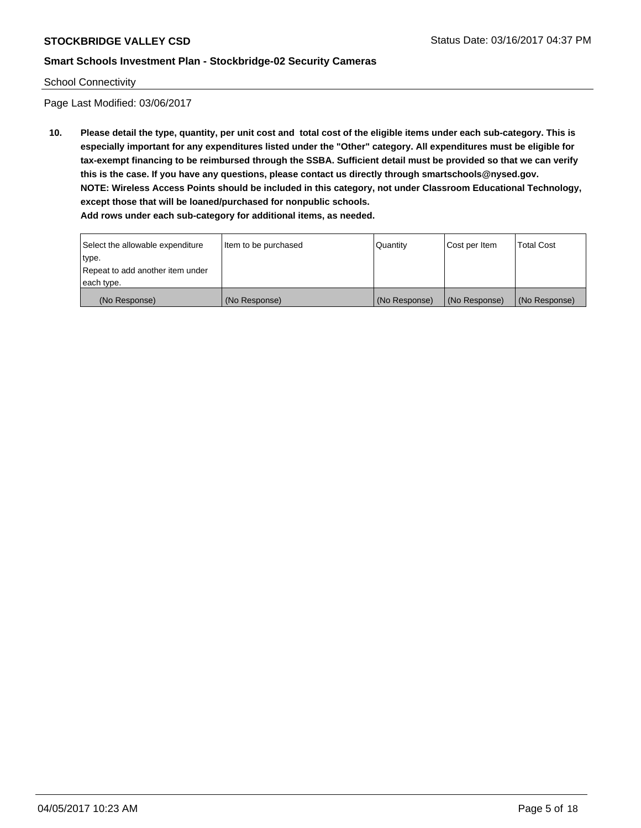#### School Connectivity

Page Last Modified: 03/06/2017

**10. Please detail the type, quantity, per unit cost and total cost of the eligible items under each sub-category. This is especially important for any expenditures listed under the "Other" category. All expenditures must be eligible for tax-exempt financing to be reimbursed through the SSBA. Sufficient detail must be provided so that we can verify this is the case. If you have any questions, please contact us directly through smartschools@nysed.gov. NOTE: Wireless Access Points should be included in this category, not under Classroom Educational Technology, except those that will be loaned/purchased for nonpublic schools. Add rows under each sub-category for additional items, as needed.**

| Select the allowable expenditure<br>type.      | Item to be purchased | Quantity      | Cost per Item | <b>Total Cost</b> |
|------------------------------------------------|----------------------|---------------|---------------|-------------------|
| Repeat to add another item under<br>each type. |                      |               |               |                   |
| (No Response)                                  | (No Response)        | (No Response) | (No Response) | (No Response)     |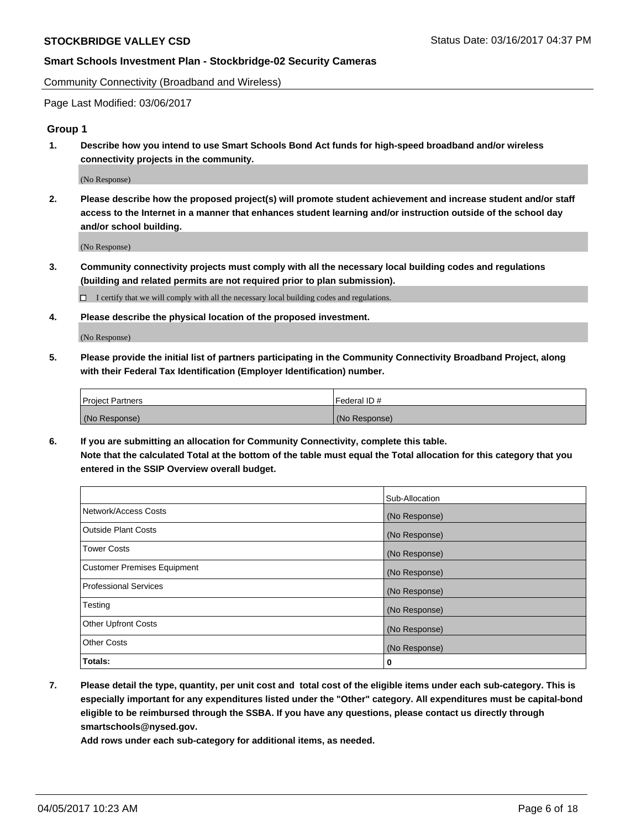Community Connectivity (Broadband and Wireless)

Page Last Modified: 03/06/2017

#### **Group 1**

**1. Describe how you intend to use Smart Schools Bond Act funds for high-speed broadband and/or wireless connectivity projects in the community.**

(No Response)

**2. Please describe how the proposed project(s) will promote student achievement and increase student and/or staff access to the Internet in a manner that enhances student learning and/or instruction outside of the school day and/or school building.**

(No Response)

**3. Community connectivity projects must comply with all the necessary local building codes and regulations (building and related permits are not required prior to plan submission).**

 $\Box$  I certify that we will comply with all the necessary local building codes and regulations.

**4. Please describe the physical location of the proposed investment.**

(No Response)

**5. Please provide the initial list of partners participating in the Community Connectivity Broadband Project, along with their Federal Tax Identification (Employer Identification) number.**

| <b>Project Partners</b> | Federal ID#     |
|-------------------------|-----------------|
| (No Response)           | l (No Response) |

**6. If you are submitting an allocation for Community Connectivity, complete this table. Note that the calculated Total at the bottom of the table must equal the Total allocation for this category that you entered in the SSIP Overview overall budget.**

|                                    | Sub-Allocation |
|------------------------------------|----------------|
| Network/Access Costs               | (No Response)  |
| Outside Plant Costs                | (No Response)  |
| <b>Tower Costs</b>                 | (No Response)  |
| <b>Customer Premises Equipment</b> | (No Response)  |
| <b>Professional Services</b>       | (No Response)  |
| Testing                            | (No Response)  |
| <b>Other Upfront Costs</b>         | (No Response)  |
| <b>Other Costs</b>                 | (No Response)  |
| Totals:                            | 0              |

**7. Please detail the type, quantity, per unit cost and total cost of the eligible items under each sub-category. This is especially important for any expenditures listed under the "Other" category. All expenditures must be capital-bond eligible to be reimbursed through the SSBA. If you have any questions, please contact us directly through smartschools@nysed.gov.**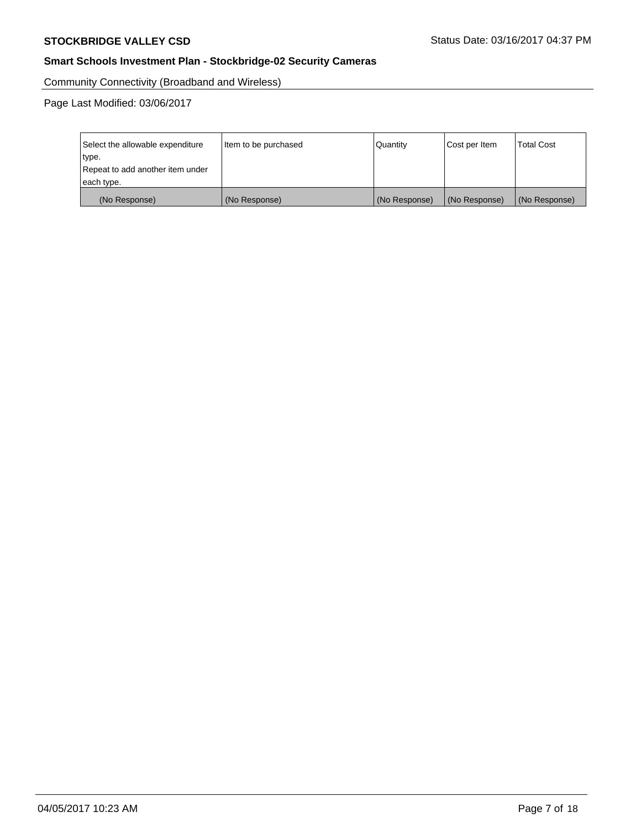Community Connectivity (Broadband and Wireless)

Page Last Modified: 03/06/2017

| Select the allowable expenditure<br>type.<br>Repeat to add another item under<br>each type. | Item to be purchased | Quantity      | Cost per Item | <b>Total Cost</b> |
|---------------------------------------------------------------------------------------------|----------------------|---------------|---------------|-------------------|
| (No Response)                                                                               | (No Response)        | (No Response) | (No Response) | (No Response)     |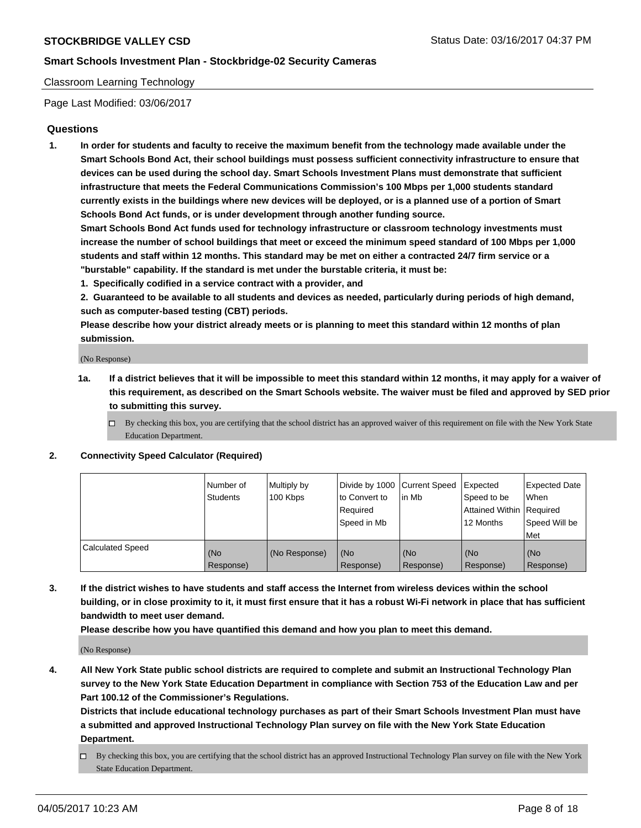#### Classroom Learning Technology

Page Last Modified: 03/06/2017

#### **Questions**

**1. In order for students and faculty to receive the maximum benefit from the technology made available under the Smart Schools Bond Act, their school buildings must possess sufficient connectivity infrastructure to ensure that devices can be used during the school day. Smart Schools Investment Plans must demonstrate that sufficient infrastructure that meets the Federal Communications Commission's 100 Mbps per 1,000 students standard currently exists in the buildings where new devices will be deployed, or is a planned use of a portion of Smart Schools Bond Act funds, or is under development through another funding source.**

**Smart Schools Bond Act funds used for technology infrastructure or classroom technology investments must increase the number of school buildings that meet or exceed the minimum speed standard of 100 Mbps per 1,000 students and staff within 12 months. This standard may be met on either a contracted 24/7 firm service or a "burstable" capability. If the standard is met under the burstable criteria, it must be:**

- **1. Specifically codified in a service contract with a provider, and**
- **2. Guaranteed to be available to all students and devices as needed, particularly during periods of high demand, such as computer-based testing (CBT) periods.**

**Please describe how your district already meets or is planning to meet this standard within 12 months of plan submission.**

(No Response)

- **1a. If a district believes that it will be impossible to meet this standard within 12 months, it may apply for a waiver of this requirement, as described on the Smart Schools website. The waiver must be filed and approved by SED prior to submitting this survey.**
	- $\Box$  By checking this box, you are certifying that the school district has an approved waiver of this requirement on file with the New York State Education Department.

#### **2. Connectivity Speed Calculator (Required)**

|                         | l Number of<br>Students | Multiply by<br>100 Kbps | Divide by 1000   Current Speed<br>to Convert to<br>Required<br>Speed in Mb | lin Mb           | Expected<br>Speed to be<br>Attained Within Required<br>12 Months | <b>Expected Date</b><br>When<br>Speed Will be<br>Met |
|-------------------------|-------------------------|-------------------------|----------------------------------------------------------------------------|------------------|------------------------------------------------------------------|------------------------------------------------------|
| <b>Calculated Speed</b> | (No<br>Response)        | (No Response)           | (No<br>Response)                                                           | (No<br>Response) | (No<br>Response)                                                 | (No<br>Response)                                     |

**3. If the district wishes to have students and staff access the Internet from wireless devices within the school building, or in close proximity to it, it must first ensure that it has a robust Wi-Fi network in place that has sufficient bandwidth to meet user demand.**

**Please describe how you have quantified this demand and how you plan to meet this demand.**

(No Response)

**4. All New York State public school districts are required to complete and submit an Instructional Technology Plan survey to the New York State Education Department in compliance with Section 753 of the Education Law and per Part 100.12 of the Commissioner's Regulations.**

**Districts that include educational technology purchases as part of their Smart Schools Investment Plan must have a submitted and approved Instructional Technology Plan survey on file with the New York State Education Department.**

 $\Box$  By checking this box, you are certifying that the school district has an approved Instructional Technology Plan survey on file with the New York State Education Department.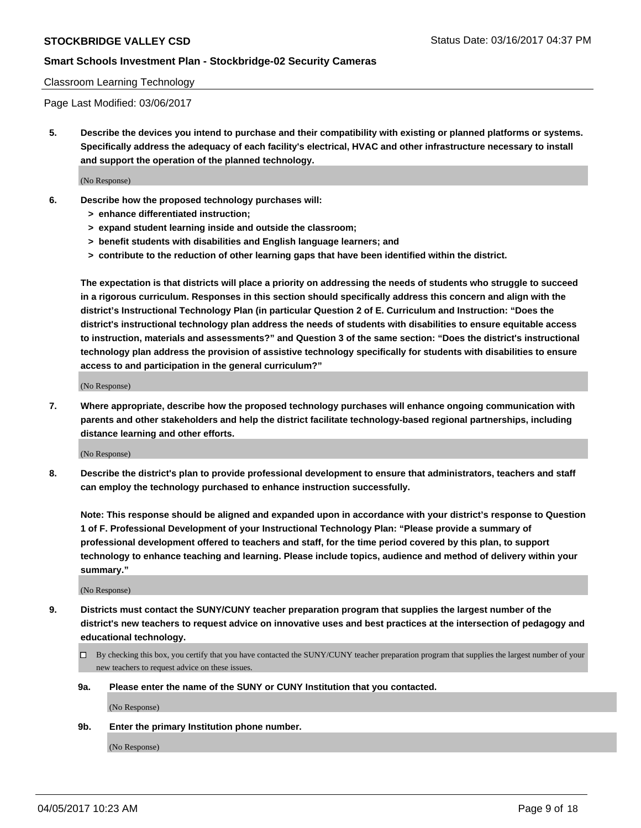#### Classroom Learning Technology

Page Last Modified: 03/06/2017

**5. Describe the devices you intend to purchase and their compatibility with existing or planned platforms or systems. Specifically address the adequacy of each facility's electrical, HVAC and other infrastructure necessary to install and support the operation of the planned technology.**

(No Response)

- **6. Describe how the proposed technology purchases will:**
	- **> enhance differentiated instruction;**
	- **> expand student learning inside and outside the classroom;**
	- **> benefit students with disabilities and English language learners; and**
	- **> contribute to the reduction of other learning gaps that have been identified within the district.**

**The expectation is that districts will place a priority on addressing the needs of students who struggle to succeed in a rigorous curriculum. Responses in this section should specifically address this concern and align with the district's Instructional Technology Plan (in particular Question 2 of E. Curriculum and Instruction: "Does the district's instructional technology plan address the needs of students with disabilities to ensure equitable access to instruction, materials and assessments?" and Question 3 of the same section: "Does the district's instructional technology plan address the provision of assistive technology specifically for students with disabilities to ensure access to and participation in the general curriculum?"**

(No Response)

**7. Where appropriate, describe how the proposed technology purchases will enhance ongoing communication with parents and other stakeholders and help the district facilitate technology-based regional partnerships, including distance learning and other efforts.**

(No Response)

**8. Describe the district's plan to provide professional development to ensure that administrators, teachers and staff can employ the technology purchased to enhance instruction successfully.**

**Note: This response should be aligned and expanded upon in accordance with your district's response to Question 1 of F. Professional Development of your Instructional Technology Plan: "Please provide a summary of professional development offered to teachers and staff, for the time period covered by this plan, to support technology to enhance teaching and learning. Please include topics, audience and method of delivery within your summary."**

(No Response)

- **9. Districts must contact the SUNY/CUNY teacher preparation program that supplies the largest number of the district's new teachers to request advice on innovative uses and best practices at the intersection of pedagogy and educational technology.**
	- By checking this box, you certify that you have contacted the SUNY/CUNY teacher preparation program that supplies the largest number of your new teachers to request advice on these issues.
	- **9a. Please enter the name of the SUNY or CUNY Institution that you contacted.**

(No Response)

**9b. Enter the primary Institution phone number.**

(No Response)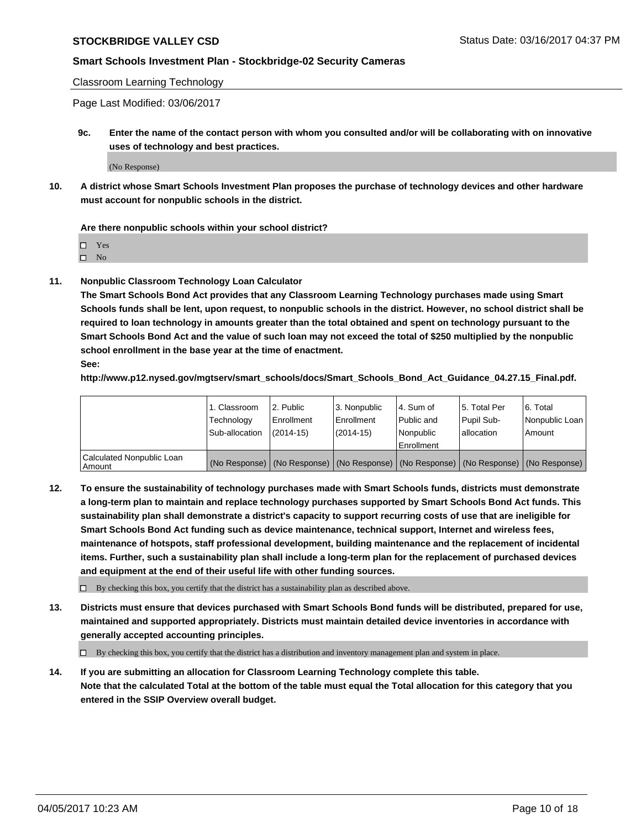Classroom Learning Technology

Page Last Modified: 03/06/2017

**9c. Enter the name of the contact person with whom you consulted and/or will be collaborating with on innovative uses of technology and best practices.**

(No Response)

**10. A district whose Smart Schools Investment Plan proposes the purchase of technology devices and other hardware must account for nonpublic schools in the district.**

**Are there nonpublic schools within your school district?**

Yes

 $\square$  No

**11. Nonpublic Classroom Technology Loan Calculator**

**The Smart Schools Bond Act provides that any Classroom Learning Technology purchases made using Smart Schools funds shall be lent, upon request, to nonpublic schools in the district. However, no school district shall be required to loan technology in amounts greater than the total obtained and spent on technology pursuant to the Smart Schools Bond Act and the value of such loan may not exceed the total of \$250 multiplied by the nonpublic school enrollment in the base year at the time of enactment.**

**See:**

**http://www.p12.nysed.gov/mgtserv/smart\_schools/docs/Smart\_Schools\_Bond\_Act\_Guidance\_04.27.15\_Final.pdf.**

|                                       | 1. Classroom<br>Technology | l 2. Public<br>Enrollment | 3. Nonpublic<br>Enrollment | l 4. Sum of<br>Public and | 15. Total Per<br>Pupil Sub- | 6. Total<br>Nonpublic Loan                                                                    |
|---------------------------------------|----------------------------|---------------------------|----------------------------|---------------------------|-----------------------------|-----------------------------------------------------------------------------------------------|
|                                       | Sub-allocation             | $(2014-15)$               | $(2014-15)$                | l Nonpublic               | allocation                  | Amount                                                                                        |
|                                       |                            |                           |                            | Enrollment                |                             |                                                                                               |
| Calculated Nonpublic Loan<br>  Amount |                            |                           |                            |                           |                             | (No Response)   (No Response)   (No Response)   (No Response)   (No Response)   (No Response) |

**12. To ensure the sustainability of technology purchases made with Smart Schools funds, districts must demonstrate a long-term plan to maintain and replace technology purchases supported by Smart Schools Bond Act funds. This sustainability plan shall demonstrate a district's capacity to support recurring costs of use that are ineligible for Smart Schools Bond Act funding such as device maintenance, technical support, Internet and wireless fees, maintenance of hotspots, staff professional development, building maintenance and the replacement of incidental items. Further, such a sustainability plan shall include a long-term plan for the replacement of purchased devices and equipment at the end of their useful life with other funding sources.**

 $\Box$  By checking this box, you certify that the district has a sustainability plan as described above.

**13. Districts must ensure that devices purchased with Smart Schools Bond funds will be distributed, prepared for use, maintained and supported appropriately. Districts must maintain detailed device inventories in accordance with generally accepted accounting principles.**

By checking this box, you certify that the district has a distribution and inventory management plan and system in place.

**14. If you are submitting an allocation for Classroom Learning Technology complete this table. Note that the calculated Total at the bottom of the table must equal the Total allocation for this category that you entered in the SSIP Overview overall budget.**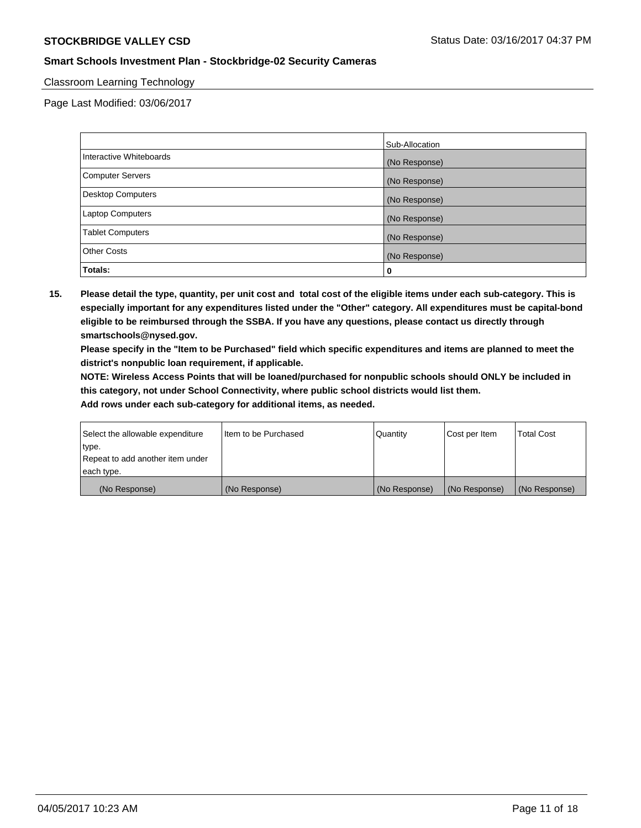#### Classroom Learning Technology

Page Last Modified: 03/06/2017

|                          | Sub-Allocation |
|--------------------------|----------------|
| Interactive Whiteboards  | (No Response)  |
| Computer Servers         | (No Response)  |
| <b>Desktop Computers</b> | (No Response)  |
| <b>Laptop Computers</b>  | (No Response)  |
| <b>Tablet Computers</b>  | (No Response)  |
| <b>Other Costs</b>       | (No Response)  |
| Totals:                  | 0              |

**15. Please detail the type, quantity, per unit cost and total cost of the eligible items under each sub-category. This is especially important for any expenditures listed under the "Other" category. All expenditures must be capital-bond eligible to be reimbursed through the SSBA. If you have any questions, please contact us directly through smartschools@nysed.gov.**

**Please specify in the "Item to be Purchased" field which specific expenditures and items are planned to meet the district's nonpublic loan requirement, if applicable.**

**NOTE: Wireless Access Points that will be loaned/purchased for nonpublic schools should ONLY be included in this category, not under School Connectivity, where public school districts would list them.**

| Select the allowable expenditure<br>∣type. | Iltem to be Purchased | Quantity      | Cost per Item | <b>Total Cost</b> |
|--------------------------------------------|-----------------------|---------------|---------------|-------------------|
| Repeat to add another item under           |                       |               |               |                   |
| each type.                                 |                       |               |               |                   |
| (No Response)                              | (No Response)         | (No Response) | (No Response) | (No Response)     |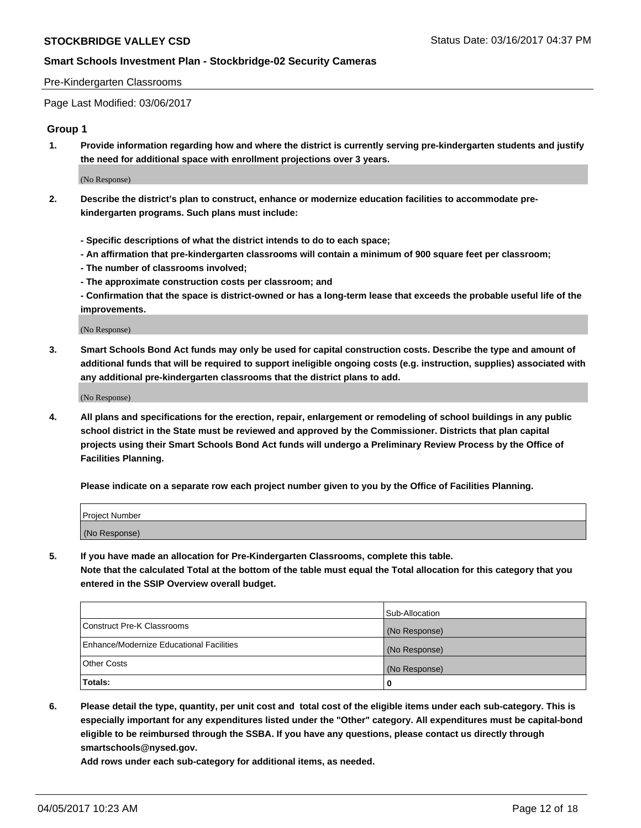#### Pre-Kindergarten Classrooms

Page Last Modified: 03/06/2017

#### **Group 1**

**1. Provide information regarding how and where the district is currently serving pre-kindergarten students and justify the need for additional space with enrollment projections over 3 years.**

(No Response)

- **2. Describe the district's plan to construct, enhance or modernize education facilities to accommodate prekindergarten programs. Such plans must include:**
	- **Specific descriptions of what the district intends to do to each space;**
	- **An affirmation that pre-kindergarten classrooms will contain a minimum of 900 square feet per classroom;**
	- **The number of classrooms involved;**
	- **The approximate construction costs per classroom; and**
	- **Confirmation that the space is district-owned or has a long-term lease that exceeds the probable useful life of the improvements.**

(No Response)

**3. Smart Schools Bond Act funds may only be used for capital construction costs. Describe the type and amount of additional funds that will be required to support ineligible ongoing costs (e.g. instruction, supplies) associated with any additional pre-kindergarten classrooms that the district plans to add.**

(No Response)

**4. All plans and specifications for the erection, repair, enlargement or remodeling of school buildings in any public school district in the State must be reviewed and approved by the Commissioner. Districts that plan capital projects using their Smart Schools Bond Act funds will undergo a Preliminary Review Process by the Office of Facilities Planning.**

**Please indicate on a separate row each project number given to you by the Office of Facilities Planning.**

| Project Number |  |
|----------------|--|
| (No Response)  |  |

**5. If you have made an allocation for Pre-Kindergarten Classrooms, complete this table. Note that the calculated Total at the bottom of the table must equal the Total allocation for this category that you entered in the SSIP Overview overall budget.**

| Totals:                                  | 0              |
|------------------------------------------|----------------|
| Other Costs                              | (No Response)  |
| Enhance/Modernize Educational Facilities | (No Response)  |
| Construct Pre-K Classrooms               | (No Response)  |
|                                          | Sub-Allocation |

**6. Please detail the type, quantity, per unit cost and total cost of the eligible items under each sub-category. This is especially important for any expenditures listed under the "Other" category. All expenditures must be capital-bond eligible to be reimbursed through the SSBA. If you have any questions, please contact us directly through smartschools@nysed.gov.**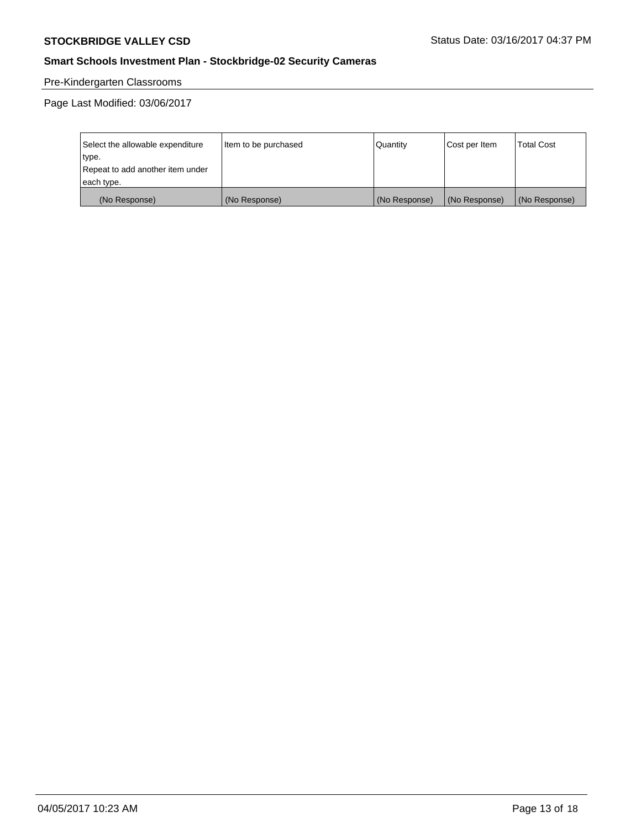# Pre-Kindergarten Classrooms

Page Last Modified: 03/06/2017

| Select the allowable expenditure | Item to be purchased | Quantity      | Cost per Item | <b>Total Cost</b> |
|----------------------------------|----------------------|---------------|---------------|-------------------|
| type.                            |                      |               |               |                   |
| Repeat to add another item under |                      |               |               |                   |
| each type.                       |                      |               |               |                   |
| (No Response)                    | (No Response)        | (No Response) | (No Response) | (No Response)     |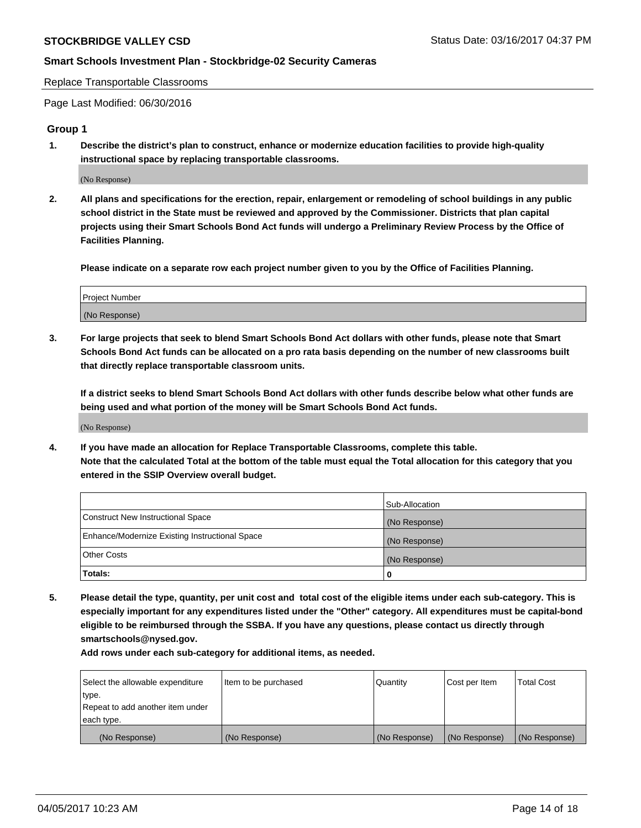Replace Transportable Classrooms

Page Last Modified: 06/30/2016

## **Group 1**

**1. Describe the district's plan to construct, enhance or modernize education facilities to provide high-quality instructional space by replacing transportable classrooms.**

(No Response)

**2. All plans and specifications for the erection, repair, enlargement or remodeling of school buildings in any public school district in the State must be reviewed and approved by the Commissioner. Districts that plan capital projects using their Smart Schools Bond Act funds will undergo a Preliminary Review Process by the Office of Facilities Planning.**

**Please indicate on a separate row each project number given to you by the Office of Facilities Planning.**

| Project Number |  |
|----------------|--|
| (No Response)  |  |

**3. For large projects that seek to blend Smart Schools Bond Act dollars with other funds, please note that Smart Schools Bond Act funds can be allocated on a pro rata basis depending on the number of new classrooms built that directly replace transportable classroom units.**

**If a district seeks to blend Smart Schools Bond Act dollars with other funds describe below what other funds are being used and what portion of the money will be Smart Schools Bond Act funds.**

(No Response)

**4. If you have made an allocation for Replace Transportable Classrooms, complete this table. Note that the calculated Total at the bottom of the table must equal the Total allocation for this category that you entered in the SSIP Overview overall budget.**

|                                                | Sub-Allocation |
|------------------------------------------------|----------------|
| Construct New Instructional Space              | (No Response)  |
| Enhance/Modernize Existing Instructional Space | (No Response)  |
| Other Costs                                    | (No Response)  |
| Totals:                                        |                |

**5. Please detail the type, quantity, per unit cost and total cost of the eligible items under each sub-category. This is especially important for any expenditures listed under the "Other" category. All expenditures must be capital-bond eligible to be reimbursed through the SSBA. If you have any questions, please contact us directly through smartschools@nysed.gov.**

| Select the allowable expenditure | Item to be purchased | Quantity      | Cost per Item | <b>Total Cost</b> |
|----------------------------------|----------------------|---------------|---------------|-------------------|
| type.                            |                      |               |               |                   |
| Repeat to add another item under |                      |               |               |                   |
| each type.                       |                      |               |               |                   |
| (No Response)                    | (No Response)        | (No Response) | (No Response) | (No Response)     |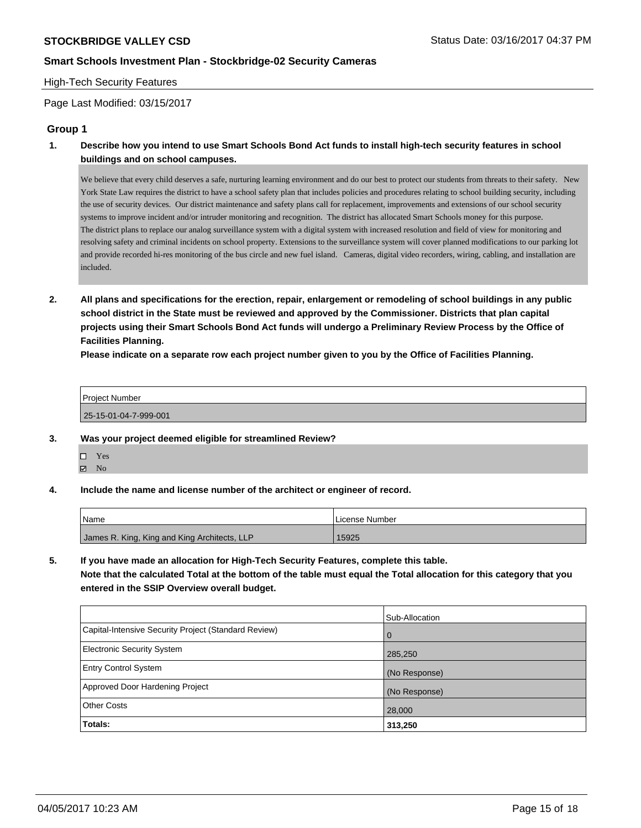#### High-Tech Security Features

Page Last Modified: 03/15/2017

## **Group 1**

**1. Describe how you intend to use Smart Schools Bond Act funds to install high-tech security features in school buildings and on school campuses.**

We believe that every child deserves a safe, nurturing learning environment and do our best to protect our students from threats to their safety. New York State Law requires the district to have a school safety plan that includes policies and procedures relating to school building security, including the use of security devices. Our district maintenance and safety plans call for replacement, improvements and extensions of our school security systems to improve incident and/or intruder monitoring and recognition. The district has allocated Smart Schools money for this purpose. The district plans to replace our analog surveillance system with a digital system with increased resolution and field of view for monitoring and resolving safety and criminal incidents on school property. Extensions to the surveillance system will cover planned modifications to our parking lot and provide recorded hi-res monitoring of the bus circle and new fuel island. Cameras, digital video recorders, wiring, cabling, and installation are included.

**2. All plans and specifications for the erection, repair, enlargement or remodeling of school buildings in any public school district in the State must be reviewed and approved by the Commissioner. Districts that plan capital projects using their Smart Schools Bond Act funds will undergo a Preliminary Review Process by the Office of Facilities Planning.** 

**Please indicate on a separate row each project number given to you by the Office of Facilities Planning.**

| <b>Project Number</b> |  |
|-----------------------|--|
| 25-15-01-04-7-999-001 |  |

- **3. Was your project deemed eligible for streamlined Review?**
	- Yes  $\boxtimes$  No
- **4. Include the name and license number of the architect or engineer of record.**

| <b>Name</b>                                  | License Number |
|----------------------------------------------|----------------|
| James R. King, King and King Architects, LLP | 15925          |

**5. If you have made an allocation for High-Tech Security Features, complete this table. Note that the calculated Total at the bottom of the table must equal the Total allocation for this category that you entered in the SSIP Overview overall budget.**

|                                                      | Sub-Allocation |
|------------------------------------------------------|----------------|
| Capital-Intensive Security Project (Standard Review) | $\Omega$       |
| <b>Electronic Security System</b>                    | 285,250        |
| <b>Entry Control System</b>                          | (No Response)  |
| Approved Door Hardening Project                      | (No Response)  |
| <b>Other Costs</b>                                   | 28,000         |
| Totals:                                              | 313,250        |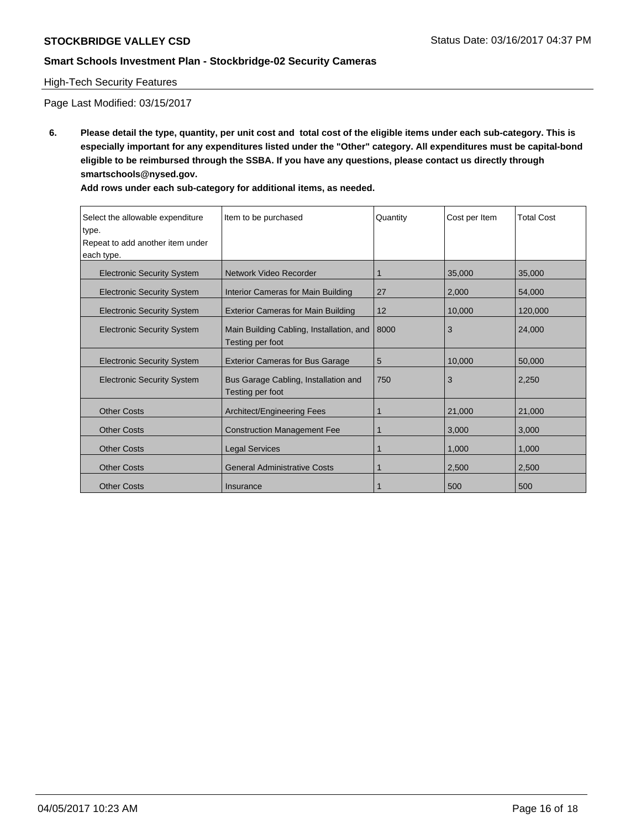### High-Tech Security Features

Page Last Modified: 03/15/2017

**6. Please detail the type, quantity, per unit cost and total cost of the eligible items under each sub-category. This is especially important for any expenditures listed under the "Other" category. All expenditures must be capital-bond eligible to be reimbursed through the SSBA. If you have any questions, please contact us directly through smartschools@nysed.gov.**

| Select the allowable expenditure<br>type.<br>Repeat to add another item under<br>each type. | Item to be purchased                                         | Quantity | Cost per Item | <b>Total Cost</b> |
|---------------------------------------------------------------------------------------------|--------------------------------------------------------------|----------|---------------|-------------------|
| <b>Electronic Security System</b>                                                           | Network Video Recorder                                       |          | 35,000        | 35,000            |
| <b>Electronic Security System</b>                                                           | Interior Cameras for Main Building                           | 27       | 2,000         | 54,000            |
| <b>Electronic Security System</b>                                                           | <b>Exterior Cameras for Main Building</b>                    | 12       | 10,000        | 120,000           |
| <b>Electronic Security System</b>                                                           | Main Building Cabling, Installation, and<br>Testing per foot | 8000     | 3             | 24,000            |
| <b>Electronic Security System</b>                                                           | <b>Exterior Cameras for Bus Garage</b>                       | 5        | 10,000        | 50,000            |
| <b>Electronic Security System</b>                                                           | Bus Garage Cabling, Installation and<br>Testing per foot     | 750      | 3             | 2,250             |
| <b>Other Costs</b>                                                                          | Architect/Engineering Fees                                   |          | 21,000        | 21,000            |
| <b>Other Costs</b>                                                                          | <b>Construction Management Fee</b>                           |          | 3,000         | 3,000             |
| <b>Other Costs</b>                                                                          | <b>Legal Services</b>                                        |          | 1,000         | 1,000             |
| <b>Other Costs</b>                                                                          | <b>General Administrative Costs</b>                          |          | 2,500         | 2,500             |
| <b>Other Costs</b>                                                                          | Insurance                                                    |          | 500           | 500               |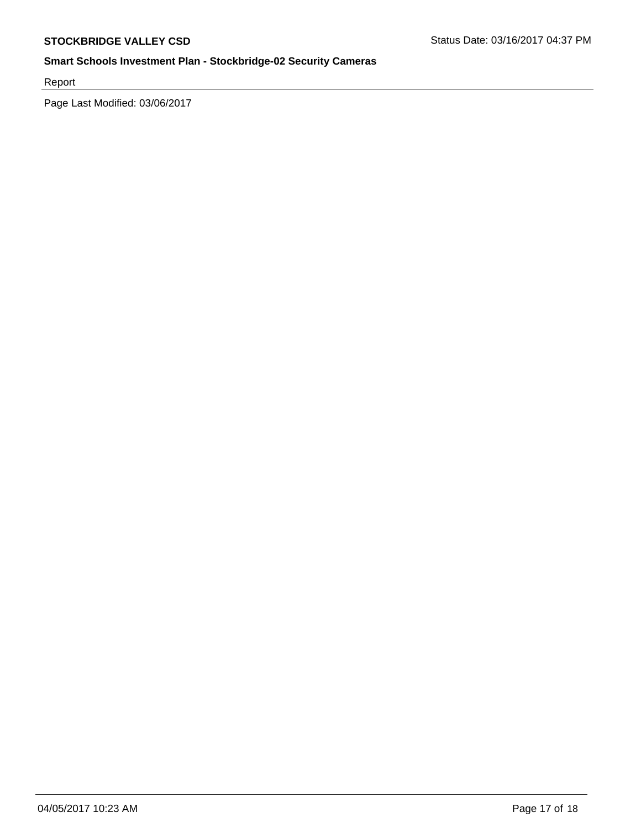Report

Page Last Modified: 03/06/2017